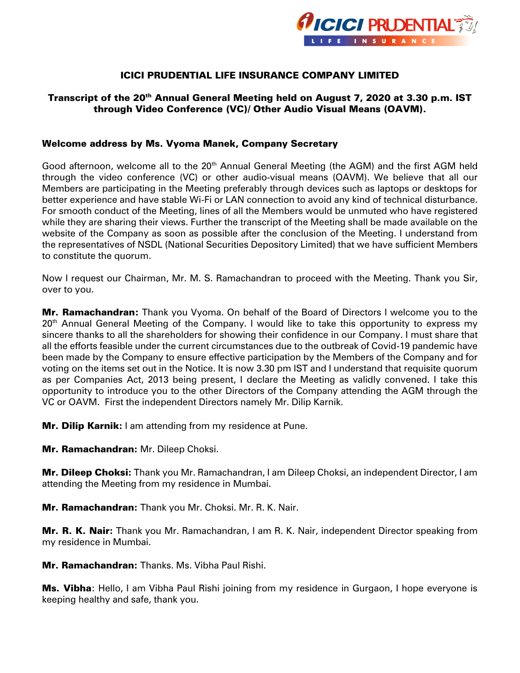

## ICICI PRUDENTIAL LIFE INSURANCE COMPANY LIMITED

# Transcript of the 20<sup>th</sup> Annual General Meeting held on August 7, 2020 at 3.30 p.m. IST through Video Conference (VC)/ Other Audio Visual Means (OAVM).

#### Welcome address by Ms. Vyoma Manek, Company Secretary

Good afternoon, welcome all to the 20<sup>th</sup> Annual General Meeting (the AGM) and the first AGM held through the video conference (VC) or other audio-visual means (OAVM). We believe that all our Members are participating in the Meeting preferably through devices such as laptops or desktops for better experience and have stable Wi-Fi or LAN connection to avoid any kind of technical disturbance. For smooth conduct of the Meeting, lines of all the Members would be unmuted who have registered while they are sharing their views. Further the transcript of the Meeting shall be made available on the website of the Company as soon as possible after the conclusion of the Meeting. I understand from the representatives of NSDL (National Securities Depository Limited) that we have sufficient Members to constitute the quorum.

Now I request our Chairman, Mr. M. S. Ramachandran to proceed with the Meeting. Thank you Sir, over to you.

**Mr. Ramachandran:** Thank you Vyoma. On behalf of the Board of Directors I welcome you to the 20<sup>th</sup> Annual General Meeting of the Company. I would like to take this opportunity to express my sincere thanks to all the shareholders for showing their confidence in our Company. I must share that all the efforts feasible under the current circumstances due to the outbreak of Covid-19 pandemic have been made by the Company to ensure effective participation by the Members of the Company and for voting on the items set out in the Notice. It is now 3.30 pm IST and I understand that requisite quorum as per Companies Act, 2013 being present, I declare the Meeting as validly convened. I take this opportunity to introduce you to the other Directors of the Company attending the AGM through the VC or OAVM. First the independent Directors namely Mr. Dilip Karnik.

Mr. Dilip Karnik**:** I am attending from my residence at Pune.

Mr. Ramachandran**:** Mr. Dileep Choksi.

Mr. Dileep Choksi**:** Thank you Mr. Ramachandran, I am Dileep Choksi, an independent Director, I am attending the Meeting from my residence in Mumbai.

Mr. Ramachandran**:** Thank you Mr. Choksi. Mr. R. K. Nair.

Mr. R. K. Nair**:** Thank you Mr. Ramachandran, I am R. K. Nair, independent Director speaking from my residence in Mumbai.

Mr. Ramachandran**:** Thanks. Ms. Vibha Paul Rishi.

Ms. Vibha: Hello, I am Vibha Paul Rishi joining from my residence in Gurgaon, I hope everyone is keeping healthy and safe, thank you.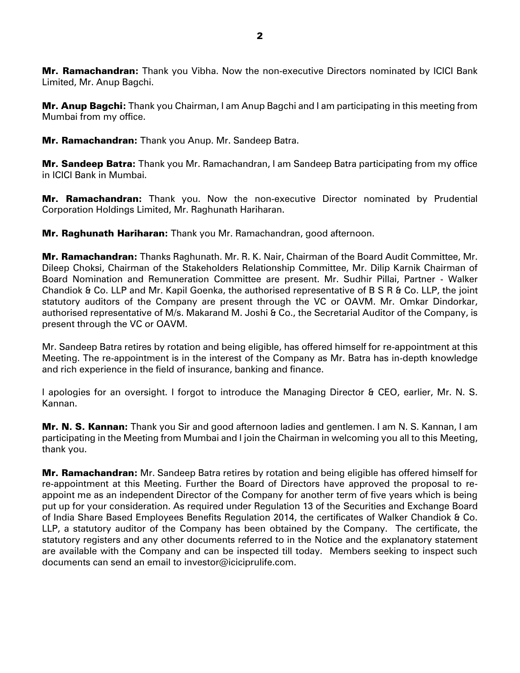Mr. Ramachandran**:** Thank you Vibha. Now the non-executive Directors nominated by ICICI Bank Limited, Mr. Anup Bagchi.

Mr. Anup Bagchi**:** Thank you Chairman, I am Anup Bagchi and I am participating in this meeting from Mumbai from my office.

Mr. Ramachandran**:** Thank you Anup. Mr. Sandeep Batra.

Mr. Sandeep Batra**:** Thank you Mr. Ramachandran, I am Sandeep Batra participating from my office in ICICI Bank in Mumbai.

Mr. Ramachandran**:** Thank you. Now the non-executive Director nominated by Prudential Corporation Holdings Limited, Mr. Raghunath Hariharan.

Mr. Raghunath Hariharan**:** Thank you Mr. Ramachandran, good afternoon.

Mr. Ramachandran**:** Thanks Raghunath. Mr. R. K. Nair, Chairman of the Board Audit Committee, Mr. Dileep Choksi, Chairman of the Stakeholders Relationship Committee, Mr. Dilip Karnik Chairman of Board Nomination and Remuneration Committee are present. Mr. Sudhir Pillai, Partner - Walker Chandiok & Co. LLP and Mr. Kapil Goenka, the authorised representative of B S R & Co. LLP, the joint statutory auditors of the Company are present through the VC or OAVM. Mr. Omkar Dindorkar, authorised representative of M/s. Makarand M. Joshi & Co., the Secretarial Auditor of the Company, is present through the VC or OAVM.

Mr. Sandeep Batra retires by rotation and being eligible, has offered himself for re-appointment at this Meeting. The re-appointment is in the interest of the Company as Mr. Batra has in-depth knowledge and rich experience in the field of insurance, banking and finance.

I apologies for an oversight. I forgot to introduce the Managing Director & CEO, earlier, Mr. N. S. Kannan.

Mr. N. S. Kannan**:** Thank you Sir and good afternoon ladies and gentlemen. I am N. S. Kannan, I am participating in the Meeting from Mumbai and I join the Chairman in welcoming you all to this Meeting, thank you.

Mr. Ramachandran**:** Mr. Sandeep Batra retires by rotation and being eligible has offered himself for re-appointment at this Meeting. Further the Board of Directors have approved the proposal to reappoint me as an independent Director of the Company for another term of five years which is being put up for your consideration. As required under Regulation 13 of the Securities and Exchange Board of India Share Based Employees Benefits Regulation 2014, the certificates of Walker Chandiok & Co. LLP, a statutory auditor of the Company has been obtained by the Company. The certificate, the statutory registers and any other documents referred to in the Notice and the explanatory statement are available with the Company and can be inspected till today. Members seeking to inspect such documents can send an email to [investor@iciciprulife.com.](mailto:investor@iciciprulife.com)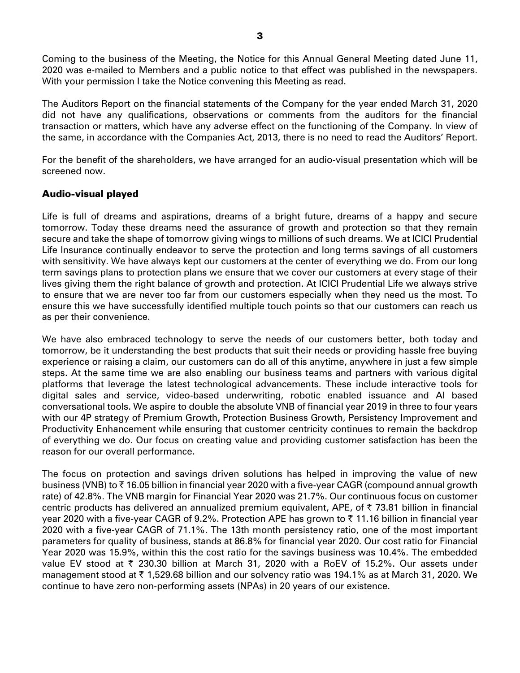Coming to the business of the Meeting, the Notice for this Annual General Meeting dated June 11, 2020 was e-mailed to Members and a public notice to that effect was published in the newspapers. With your permission I take the Notice convening this Meeting as read.

The Auditors Report on the financial statements of the Company for the year ended March 31, 2020 did not have any qualifications, observations or comments from the auditors for the financial transaction or matters, which have any adverse effect on the functioning of the Company. In view of the same, in accordance with the Companies Act, 2013, there is no need to read the Auditors' Report.

For the benefit of the shareholders, we have arranged for an audio-visual presentation which will be screened now.

## Audio-visual played

Life is full of dreams and aspirations, dreams of a bright future, dreams of a happy and secure tomorrow. Today these dreams need the assurance of growth and protection so that they remain secure and take the shape of tomorrow giving wings to millions of such dreams. We at ICICI Prudential Life Insurance continually endeavor to serve the protection and long terms savings of all customers with sensitivity. We have always kept our customers at the center of everything we do. From our long term savings plans to protection plans we ensure that we cover our customers at every stage of their lives giving them the right balance of growth and protection. At ICICI Prudential Life we always strive to ensure that we are never too far from our customers especially when they need us the most. To ensure this we have successfully identified multiple touch points so that our customers can reach us as per their convenience.

We have also embraced technology to serve the needs of our customers better, both today and tomorrow, be it understanding the best products that suit their needs or providing hassle free buying experience or raising a claim, our customers can do all of this anytime, anywhere in just a few simple steps. At the same time we are also enabling our business teams and partners with various digital platforms that leverage the latest technological advancements. These include interactive tools for digital sales and service, video-based underwriting, robotic enabled issuance and AI based conversational tools. We aspire to double the absolute VNB of financial year 2019 in three to four years with our 4P strategy of Premium Growth, Protection Business Growth, Persistency Improvement and Productivity Enhancement while ensuring that customer centricity continues to remain the backdrop of everything we do. Our focus on creating value and providing customer satisfaction has been the reason for our overall performance.

The focus on protection and savings driven solutions has helped in improving the value of new business (VNB) to ₹16.05 billion in financial year 2020 with a five-year CAGR (compound annual growth rate) of 42.8%. The VNB margin for Financial Year 2020 was 21.7%. Our continuous focus on customer centric products has delivered an annualized premium equivalent, APE, of  $\bar{\tau}$  73.81 billion in financial year 2020 with a five-year CAGR of 9.2%. Protection APE has grown to ₹11.16 billion in financial year 2020 with a five-year CAGR of 71.1%. The 13th month persistency ratio, one of the most important parameters for quality of business, stands at 86.8% for financial year 2020. Our cost ratio for Financial Year 2020 was 15.9%, within this the cost ratio for the savings business was 10.4%. The embedded value EV stood at  $\bar{\tau}$  230.30 billion at March 31, 2020 with a RoEV of 15.2%. Our assets under management stood at ₹1,529.68 billion and our solvency ratio was 194.1% as at March 31, 2020. We continue to have zero non-performing assets (NPAs) in 20 years of our existence.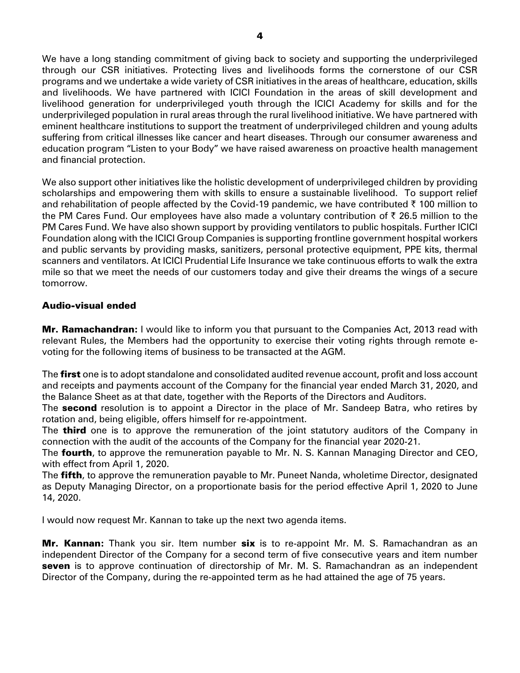We have a long standing commitment of giving back to society and supporting the underprivileged through our CSR initiatives. Protecting lives and livelihoods forms the cornerstone of our CSR programs and we undertake a wide variety of CSR initiatives in the areas of healthcare, education, skills and livelihoods. We have partnered with ICICI Foundation in the areas of skill development and livelihood generation for underprivileged youth through the ICICI Academy for skills and for the underprivileged population in rural areas through the rural livelihood initiative. We have partnered with eminent healthcare institutions to support the treatment of underprivileged children and young adults suffering from critical illnesses like cancer and heart diseases. Through our consumer awareness and education program "Listen to your Body" we have raised awareness on proactive health management

We also support other initiatives like the holistic development of underprivileged children by providing scholarships and empowering them with skills to ensure a sustainable livelihood. To support relief and rehabilitation of people affected by the Covid-19 pandemic, we have contributed  $\bar{\tau}$  100 million to the PM Cares Fund. Our employees have also made a voluntary contribution of  $\bar{\tau}$  26.5 million to the PM Cares Fund. We have also shown support by providing ventilators to public hospitals. Further ICICI Foundation along with the ICICI Group Companies is supporting frontline government hospital workers and public servants by providing masks, sanitizers, personal protective equipment, PPE kits, thermal scanners and ventilators. At ICICI Prudential Life Insurance we take continuous efforts to walk the extra mile so that we meet the needs of our customers today and give their dreams the wings of a secure tomorrow.

### Audio-visual ended

and financial protection.

Mr. Ramachandran**:** I would like to inform you that pursuant to the Companies Act, 2013 read with relevant Rules, the Members had the opportunity to exercise their voting rights through remote evoting for the following items of business to be transacted at the AGM.

The **first** one is to adopt standalone and consolidated audited revenue account, profit and loss account and receipts and payments account of the Company for the financial year ended March 31, 2020, and the Balance Sheet as at that date, together with the Reports of the Directors and Auditors.

The **second** resolution is to appoint a Director in the place of Mr. Sandeep Batra, who retires by rotation and, being eligible, offers himself for re-appointment.

The **third** one is to approve the remuneration of the joint statutory auditors of the Company in connection with the audit of the accounts of the Company for the financial year 2020-21.

The **fourth**, to approve the remuneration payable to Mr. N. S. Kannan Managing Director and CEO, with effect from April 1, 2020.

The **fifth**, to approve the remuneration payable to Mr. Puneet Nanda, wholetime Director, designated as Deputy Managing Director, on a proportionate basis for the period effective April 1, 2020 to June 14, 2020.

I would now request Mr. Kannan to take up the next two agenda items.

Mr. Kannan**:** Thank you sir. Item number six is to re-appoint Mr. M. S. Ramachandran as an independent Director of the Company for a second term of five consecutive years and item number seven is to approve continuation of directorship of Mr. M. S. Ramachandran as an independent Director of the Company, during the re-appointed term as he had attained the age of 75 years.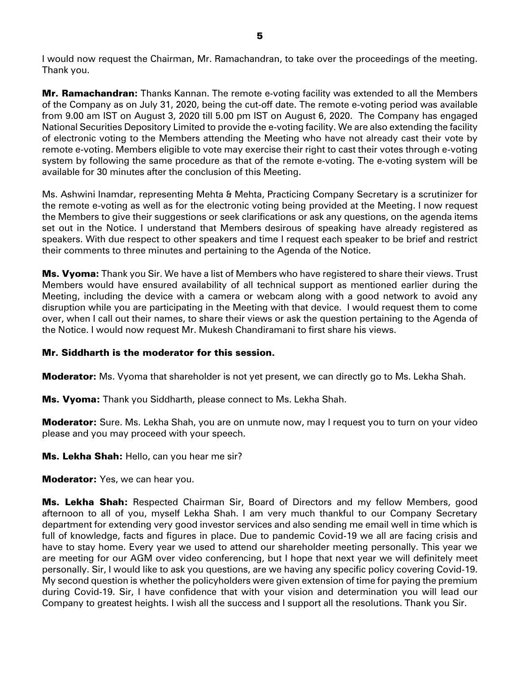I would now request the Chairman, Mr. Ramachandran, to take over the proceedings of the meeting. Thank you.

Mr. Ramachandran**:** Thanks Kannan. The remote e-voting facility was extended to all the Members of the Company as on July 31, 2020, being the cut-off date. The remote e-voting period was available from 9.00 am IST on August 3, 2020 till 5.00 pm IST on August 6, 2020. The Company has engaged National Securities Depository Limited to provide the e-voting facility. We are also extending the facility of electronic voting to the Members attending the Meeting who have not already cast their vote by remote e-voting. Members eligible to vote may exercise their right to cast their votes through e-voting system by following the same procedure as that of the remote e-voting. The e-voting system will be available for 30 minutes after the conclusion of this Meeting.

Ms. Ashwini Inamdar, representing Mehta & Mehta, Practicing Company Secretary is a scrutinizer for the remote e-voting as well as for the electronic voting being provided at the Meeting. I now request the Members to give their suggestions or seek clarifications or ask any questions, on the agenda items set out in the Notice. I understand that Members desirous of speaking have already registered as speakers. With due respect to other speakers and time I request each speaker to be brief and restrict their comments to three minutes and pertaining to the Agenda of the Notice.

Ms. Vyoma**:** Thank you Sir. We have a list of Members who have registered to share their views. Trust Members would have ensured availability of all technical support as mentioned earlier during the Meeting, including the device with a camera or webcam along with a good network to avoid any disruption while you are participating in the Meeting with that device. I would request them to come over, when I call out their names, to share their views or ask the question pertaining to the Agenda of the Notice. I would now request Mr. Mukesh Chandiramani to first share his views.

## Mr. Siddharth is the moderator for this session.

Moderator**:** Ms. Vyoma that shareholder is not yet present, we can directly go to Ms. Lekha Shah.

Ms. Vyoma: Thank you Siddharth, please connect to Ms. Lekha Shah.

**Moderator:** Sure. Ms. Lekha Shah, you are on unmute now, may I request you to turn on your video please and you may proceed with your speech.

Ms. Lekha Shah: Hello, can you hear me sir?

**Moderator:** Yes, we can hear you.

Ms. Lekha Shah: Respected Chairman Sir, Board of Directors and my fellow Members, good afternoon to all of you, myself Lekha Shah. I am very much thankful to our Company Secretary department for extending very good investor services and also sending me email well in time which is full of knowledge, facts and figures in place. Due to pandemic Covid-19 we all are facing crisis and have to stay home. Every year we used to attend our shareholder meeting personally. This year we are meeting for our AGM over video conferencing, but I hope that next year we will definitely meet personally. Sir, I would like to ask you questions, are we having any specific policy covering Covid-19. My second question is whether the policyholders were given extension of time for paying the premium during Covid-19. Sir, I have confidence that with your vision and determination you will lead our Company to greatest heights. I wish all the success and I support all the resolutions. Thank you Sir.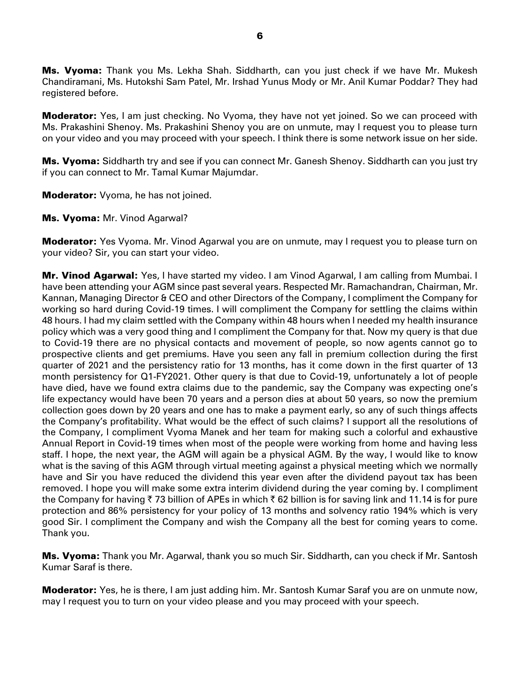Ms. Vyoma: Thank you Ms. Lekha Shah. Siddharth, can you just check if we have Mr. Mukesh Chandiramani, Ms. Hutokshi Sam Patel, Mr. Irshad Yunus Mody or Mr. Anil Kumar Poddar? They had registered before.

**Moderator:** Yes, I am just checking. No Vyoma, they have not yet joined. So we can proceed with Ms. Prakashini Shenoy. Ms. Prakashini Shenoy you are on unmute, may I request you to please turn on your video and you may proceed with your speech. I think there is some network issue on her side.

**Ms. Vyoma:** Siddharth try and see if you can connect Mr. Ganesh Shenoy. Siddharth can you just try if you can connect to Mr. Tamal Kumar Majumdar.

**Moderator:** Vyoma, he has not joined.

Ms. Vyoma: Mr. Vinod Agarwal?

**Moderator:** Yes Vyoma. Mr. Vinod Agarwal you are on unmute, may I request you to please turn on your video? Sir, you can start your video.

Mr. Vinod Agarwal: Yes, I have started my video. I am Vinod Agarwal, I am calling from Mumbai. I have been attending your AGM since past several years. Respected Mr. Ramachandran, Chairman, Mr. Kannan, Managing Director & CEO and other Directors of the Company, I compliment the Company for working so hard during Covid-19 times. I will compliment the Company for settling the claims within 48 hours. I had my claim settled with the Company within 48 hours when I needed my health insurance policy which was a very good thing and I compliment the Company for that. Now my query is that due to Covid-19 there are no physical contacts and movement of people, so now agents cannot go to prospective clients and get premiums. Have you seen any fall in premium collection during the first quarter of 2021 and the persistency ratio for 13 months, has it come down in the first quarter of 13 month persistency for Q1-FY2021. Other query is that due to Covid-19, unfortunately a lot of people have died, have we found extra claims due to the pandemic, say the Company was expecting one's life expectancy would have been 70 years and a person dies at about 50 years, so now the premium collection goes down by 20 years and one has to make a payment early, so any of such things affects the Company's profitability. What would be the effect of such claims? I support all the resolutions of the Company, I compliment Vyoma Manek and her team for making such a colorful and exhaustive Annual Report in Covid-19 times when most of the people were working from home and having less staff. I hope, the next year, the AGM will again be a physical AGM. By the way, I would like to know what is the saving of this AGM through virtual meeting against a physical meeting which we normally have and Sir you have reduced the dividend this year even after the dividend payout tax has been removed. I hope you will make some extra interim dividend during the year coming by. I compliment the Company for having  $\bar{\tau}$  73 billion of APEs in which  $\bar{\tau}$  62 billion is for saving link and 11.14 is for pure protection and 86% persistency for your policy of 13 months and solvency ratio 194% which is very good Sir. I compliment the Company and wish the Company all the best for coming years to come. Thank you.

Ms. Vyoma: Thank you Mr. Agarwal, thank you so much Sir. Siddharth, can you check if Mr. Santosh Kumar Saraf is there.

**Moderator:** Yes, he is there, I am just adding him. Mr. Santosh Kumar Saraf you are on unmute now, may I request you to turn on your video please and you may proceed with your speech.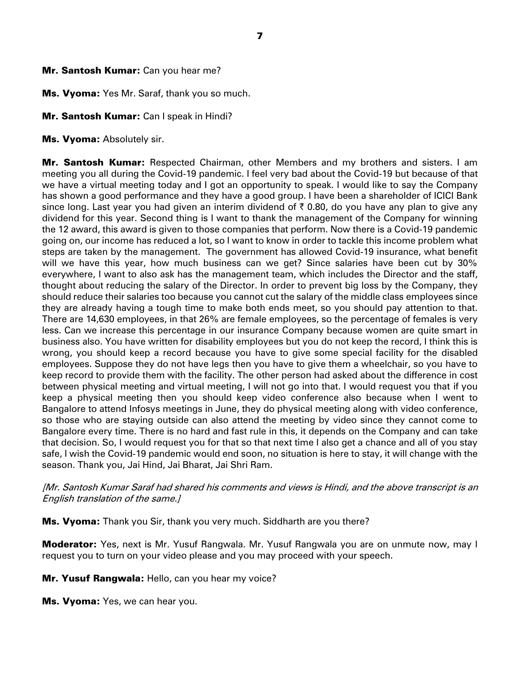## Mr. Santosh Kumar: Can you hear me?

Ms. Vyoma: Yes Mr. Saraf, thank you so much.

# Mr. Santosh Kumar: Can I speak in Hindi?

Ms. Vyoma: Absolutely sir.

Mr. Santosh Kumar: Respected Chairman, other Members and my brothers and sisters. I am meeting you all during the Covid-19 pandemic. I feel very bad about the Covid-19 but because of that we have a virtual meeting today and I got an opportunity to speak. I would like to say the Company has shown a good performance and they have a good group. I have been a shareholder of ICICI Bank since long. Last year you had given an interim dividend of  $\bar{\tau}$  0.80, do you have any plan to give any dividend for this year. Second thing is I want to thank the management of the Company for winning the 12 award, this award is given to those companies that perform. Now there is a Covid-19 pandemic going on, our income has reduced a lot, so I want to know in order to tackle this income problem what steps are taken by the management. The government has allowed Covid-19 insurance, what benefit will we have this year, how much business can we get? Since salaries have been cut by 30% everywhere, I want to also ask has the management team, which includes the Director and the staff, thought about reducing the salary of the Director. In order to prevent big loss by the Company, they should reduce their salaries too because you cannot cut the salary of the middle class employees since they are already having a tough time to make both ends meet, so you should pay attention to that. There are 14,630 employees, in that 26% are female employees, so the percentage of females is very less. Can we increase this percentage in our insurance Company because women are quite smart in business also. You have written for disability employees but you do not keep the record, I think this is wrong, you should keep a record because you have to give some special facility for the disabled employees. Suppose they do not have legs then you have to give them a wheelchair, so you have to keep record to provide them with the facility. The other person had asked about the difference in cost between physical meeting and virtual meeting, I will not go into that. I would request you that if you keep a physical meeting then you should keep video conference also because when I went to Bangalore to attend Infosys meetings in June, they do physical meeting along with video conference, so those who are staying outside can also attend the meeting by video since they cannot come to Bangalore every time. There is no hard and fast rule in this, it depends on the Company and can take that decision. So, I would request you for that so that next time I also get a chance and all of you stay safe, I wish the Covid-19 pandemic would end soon, no situation is here to stay, it will change with the season. Thank you, Jai Hind, Jai Bharat, Jai Shri Ram.

[Mr. Santosh Kumar Saraf had shared his comments and views is Hindi, and the above transcript is an English translation of the same.]

**Ms. Vyoma:** Thank you Sir, thank you very much. Siddharth are you there?

**Moderator:** Yes, next is Mr. Yusuf Rangwala. Mr. Yusuf Rangwala you are on unmute now, may I request you to turn on your video please and you may proceed with your speech.

Mr. Yusuf Rangwala: Hello, can you hear my voice?

Ms. Vyoma: Yes, we can hear you.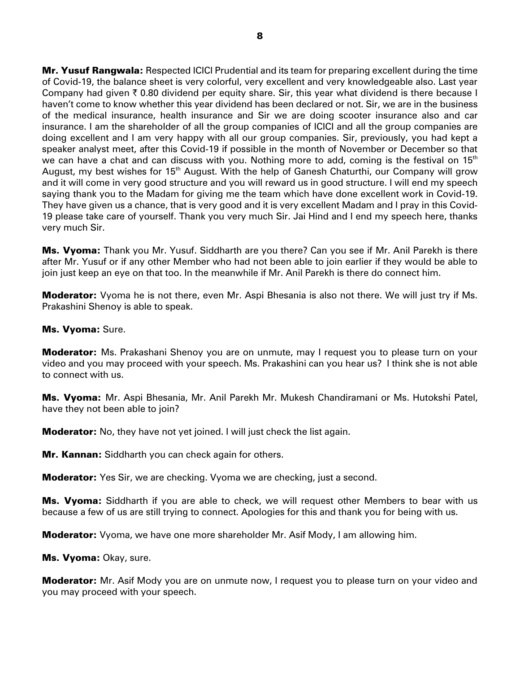Mr. Yusuf Rangwala: Respected ICICI Prudential and its team for preparing excellent during the time of Covid-19, the balance sheet is very colorful, very excellent and very knowledgeable also. Last year Company had given  $\bar{\tau}$  0.80 dividend per equity share. Sir, this year what dividend is there because I haven't come to know whether this year dividend has been declared or not. Sir, we are in the business of the medical insurance, health insurance and Sir we are doing scooter insurance also and car insurance. I am the shareholder of all the group companies of ICICI and all the group companies are doing excellent and I am very happy with all our group companies. Sir, previously, you had kept a speaker analyst meet, after this Covid-19 if possible in the month of November or December so that we can have a chat and can discuss with you. Nothing more to add, coming is the festival on  $15<sup>th</sup>$ August, my best wishes for 15<sup>th</sup> August. With the help of Ganesh Chaturthi, our Company will grow and it will come in very good structure and you will reward us in good structure. I will end my speech saying thank you to the Madam for giving me the team which have done excellent work in Covid-19. They have given us a chance, that is very good and it is very excellent Madam and I pray in this Covid-19 please take care of yourself. Thank you very much Sir. Jai Hind and I end my speech here, thanks very much Sir.

**Ms. Vyoma:** Thank you Mr. Yusuf. Siddharth are you there? Can you see if Mr. Anil Parekh is there after Mr. Yusuf or if any other Member who had not been able to join earlier if they would be able to join just keep an eye on that too. In the meanwhile if Mr. Anil Parekh is there do connect him.

**Moderator:** Vyoma he is not there, even Mr. Aspi Bhesania is also not there. We will just try if Ms. Prakashini Shenoy is able to speak.

### Ms. Vyoma: Sure.

**Moderator:** Ms. Prakashani Shenoy you are on unmute, may I request you to please turn on your video and you may proceed with your speech. Ms. Prakashini can you hear us? I think she is not able to connect with us.

Ms. Vyoma: Mr. Aspi Bhesania, Mr. Anil Parekh Mr. Mukesh Chandiramani or Ms. Hutokshi Patel, have they not been able to join?

**Moderator:** No, they have not yet joined. I will just check the list again.

**Mr. Kannan:** Siddharth you can check again for others.

**Moderator:** Yes Sir, we are checking. Vyoma we are checking, just a second.

**Ms. Vyoma:** Siddharth if you are able to check, we will request other Members to bear with us because a few of us are still trying to connect. Apologies for this and thank you for being with us.

**Moderator:** Vyoma, we have one more shareholder Mr. Asif Mody, I am allowing him.

Ms. Vyoma: Okay, sure.

**Moderator:** Mr. Asif Mody you are on unmute now, I request you to please turn on your video and you may proceed with your speech.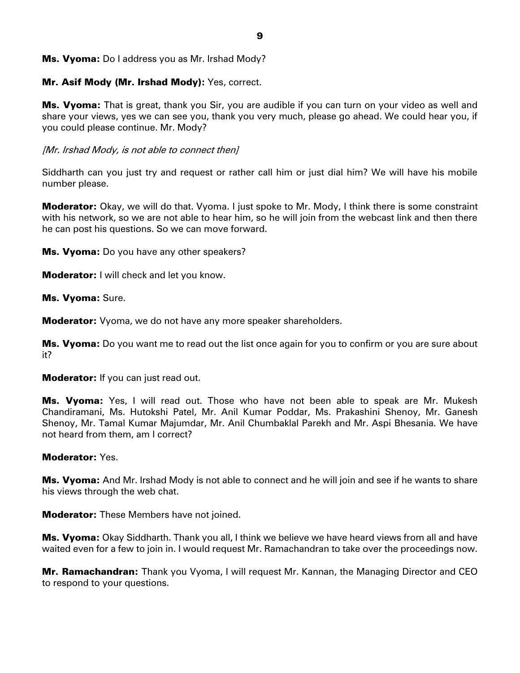## Ms. Vyoma: Do I address you as Mr. Irshad Mody?

## Mr. Asif Mody (Mr. Irshad Mody)**:** Yes, correct.

**Ms. Vyoma:** That is great, thank you Sir, you are audible if you can turn on your video as well and share your views, yes we can see you, thank you very much, please go ahead. We could hear you, if you could please continue. Mr. Mody?

## [Mr. Irshad Mody, is not able to connect then]

Siddharth can you just try and request or rather call him or just dial him? We will have his mobile number please.

**Moderator:** Okay, we will do that. Vyoma. I just spoke to Mr. Mody, I think there is some constraint with his network, so we are not able to hear him, so he will join from the webcast link and then there he can post his questions. So we can move forward.

**Ms. Vyoma:** Do you have any other speakers?

**Moderator:** I will check and let you know.

Ms. Vyoma: Sure.

**Moderator:** Vyoma, we do not have any more speaker shareholders.

**Ms. Vyoma:** Do you want me to read out the list once again for you to confirm or you are sure about it?

**Moderator:** If you can just read out.

**Ms. Vyoma:** Yes, I will read out. Those who have not been able to speak are Mr. Mukesh Chandiramani, Ms. Hutokshi Patel, Mr. Anil Kumar Poddar, Ms. Prakashini Shenoy, Mr. Ganesh Shenoy, Mr. Tamal Kumar Majumdar, Mr. Anil Chumbaklal Parekh and Mr. Aspi Bhesania. We have not heard from them, am I correct?

## Moderator: Yes.

**Ms. Vyoma:** And Mr. Irshad Mody is not able to connect and he will join and see if he wants to share his views through the web chat.

**Moderator:** These Members have not joined.

Ms. Vyoma: Okay Siddharth. Thank you all, I think we believe we have heard views from all and have waited even for a few to join in. I would request Mr. Ramachandran to take over the proceedings now.

**Mr. Ramachandran:** Thank you Vyoma, I will request Mr. Kannan, the Managing Director and CEO to respond to your questions.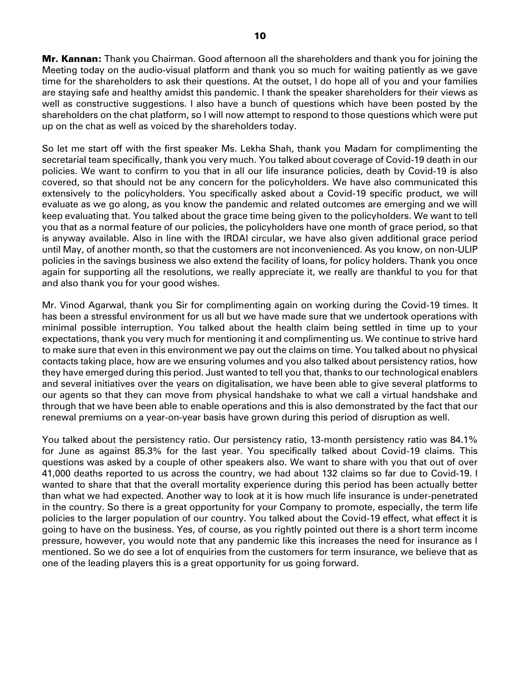**Mr. Kannan:** Thank you Chairman. Good afternoon all the shareholders and thank you for joining the Meeting today on the audio-visual platform and thank you so much for waiting patiently as we gave time for the shareholders to ask their questions. At the outset, I do hope all of you and your families are staying safe and healthy amidst this pandemic. I thank the speaker shareholders for their views as well as constructive suggestions. I also have a bunch of questions which have been posted by the shareholders on the chat platform, so I will now attempt to respond to those questions which were put up on the chat as well as voiced by the shareholders today.

So let me start off with the first speaker Ms. Lekha Shah, thank you Madam for complimenting the secretarial team specifically, thank you very much. You talked about coverage of Covid-19 death in our policies. We want to confirm to you that in all our life insurance policies, death by Covid-19 is also covered, so that should not be any concern for the policyholders. We have also communicated this extensively to the policyholders. You specifically asked about a Covid-19 specific product, we will evaluate as we go along, as you know the pandemic and related outcomes are emerging and we will keep evaluating that. You talked about the grace time being given to the policyholders. We want to tell you that as a normal feature of our policies, the policyholders have one month of grace period, so that is anyway available. Also in line with the IRDAI circular, we have also given additional grace period until May, of another month, so that the customers are not inconvenienced. As you know, on non-ULIP policies in the savings business we also extend the facility of loans, for policy holders. Thank you once again for supporting all the resolutions, we really appreciate it, we really are thankful to you for that and also thank you for your good wishes.

Mr. Vinod Agarwal, thank you Sir for complimenting again on working during the Covid-19 times. It has been a stressful environment for us all but we have made sure that we undertook operations with minimal possible interruption. You talked about the health claim being settled in time up to your expectations, thank you very much for mentioning it and complimenting us. We continue to strive hard to make sure that even in this environment we pay out the claims on time. You talked about no physical contacts taking place, how are we ensuring volumes and you also talked about persistency ratios, how they have emerged during this period. Just wanted to tell you that, thanks to our technological enablers and several initiatives over the years on digitalisation, we have been able to give several platforms to our agents so that they can move from physical handshake to what we call a virtual handshake and through that we have been able to enable operations and this is also demonstrated by the fact that our renewal premiums on a year-on-year basis have grown during this period of disruption as well.

You talked about the persistency ratio. Our persistency ratio, 13-month persistency ratio was 84.1% for June as against 85.3% for the last year. You specifically talked about Covid-19 claims. This questions was asked by a couple of other speakers also. We want to share with you that out of over 41,000 deaths reported to us across the country, we had about 132 claims so far due to Covid-19. I wanted to share that that the overall mortality experience during this period has been actually better than what we had expected. Another way to look at it is how much life insurance is under-penetrated in the country. So there is a great opportunity for your Company to promote, especially, the term life policies to the larger population of our country. You talked about the Covid-19 effect, what effect it is going to have on the business. Yes, of course, as you rightly pointed out there is a short term income pressure, however, you would note that any pandemic like this increases the need for insurance as I mentioned. So we do see a lot of enquiries from the customers for term insurance, we believe that as one of the leading players this is a great opportunity for us going forward.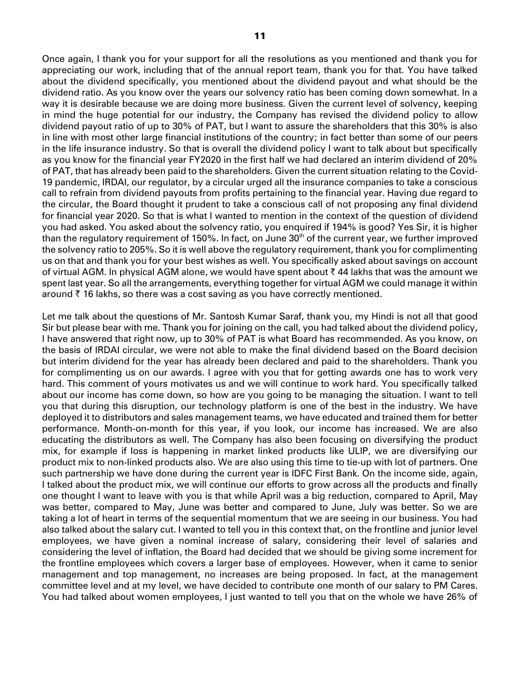Once again, I thank you for your support for all the resolutions as you mentioned and thank you for appreciating our work, including that of the annual report team, thank you for that. You have talked about the dividend specifically, you mentioned about the dividend payout and what should be the dividend ratio. As you know over the years our solvency ratio has been coming down somewhat. In a way it is desirable because we are doing more business. Given the current level of solvency, keeping in mind the huge potential for our industry, the Company has revised the dividend policy to allow dividend payout ratio of up to 30% of PAT, but I want to assure the shareholders that this 30% is also in line with most other large financial institutions of the country; in fact better than some of our peers in the life insurance industry. So that is overall the dividend policy I want to talk about but specifically as you know for the financial year FY2020 in the first half we had declared an interim dividend of 20% of PAT, that has already been paid to the shareholders. Given the current situation relating to the Covid-19 pandemic, IRDAI, our regulator, by a circular urged all the insurance companies to take a conscious call to refrain from dividend payouts from profits pertaining to the financial year. Having due regard to the circular, the Board thought it prudent to take a conscious call of not proposing any final dividend for financial year 2020. So that is what I wanted to mention in the context of the question of dividend you had asked. You asked about the solvency ratio, you enquired if 194% is good? Yes Sir, it is higher than the regulatory requirement of 150%. In fact, on June  $30<sup>th</sup>$  of the current year, we further improved the solvency ratio to 205%. So it is well above the regulatory requirement, thank you for complimenting us on that and thank you for your best wishes as well. You specifically asked about savings on account of virtual AGM. In physical AGM alone, we would have spent about  $\bar{\tau}$  44 lakhs that was the amount we spent last year. So all the arrangements, everything together for virtual AGM we could manage it within around  $\bar{\tau}$  16 lakhs, so there was a cost saving as you have correctly mentioned.

Let me talk about the questions of Mr. Santosh Kumar Saraf, thank you, my Hindi is not all that good Sir but please bear with me. Thank you for joining on the call, you had talked about the dividend policy, I have answered that right now, up to 30% of PAT is what Board has recommended. As you know, on the basis of IRDAI circular, we were not able to make the final dividend based on the Board decision but interim dividend for the year has already been declared and paid to the shareholders. Thank you for complimenting us on our awards. I agree with you that for getting awards one has to work very hard. This comment of yours motivates us and we will continue to work hard. You specifically talked about our income has come down, so how are you going to be managing the situation. I want to tell you that during this disruption, our technology platform is one of the best in the industry. We have deployed it to distributors and sales management teams, we have educated and trained them for better performance. Month-on-month for this year, if you look, our income has increased. We are also educating the distributors as well. The Company has also been focusing on diversifying the product mix, for example if loss is happening in market linked products like ULIP, we are diversifying our product mix to non-linked products also. We are also using this time to tie-up with lot of partners. One such partnership we have done during the current year is IDFC First Bank. On the income side, again, I talked about the product mix, we will continue our efforts to grow across all the products and finally one thought I want to leave with you is that while April was a big reduction, compared to April, May was better, compared to May, June was better and compared to June, July was better. So we are taking a lot of heart in terms of the sequential momentum that we are seeing in our business. You had also talked about the salary cut. I wanted to tell you in this context that, on the frontline and junior level employees, we have given a nominal increase of salary, considering their level of salaries and considering the level of inflation, the Board had decided that we should be giving some increment for the frontline employees which covers a larger base of employees. However, when it came to senior management and top management, no increases are being proposed. In fact, at the management committee level and at my level, we have decided to contribute one month of our salary to PM Cares. You had talked about women employees, I just wanted to tell you that on the whole we have 26% of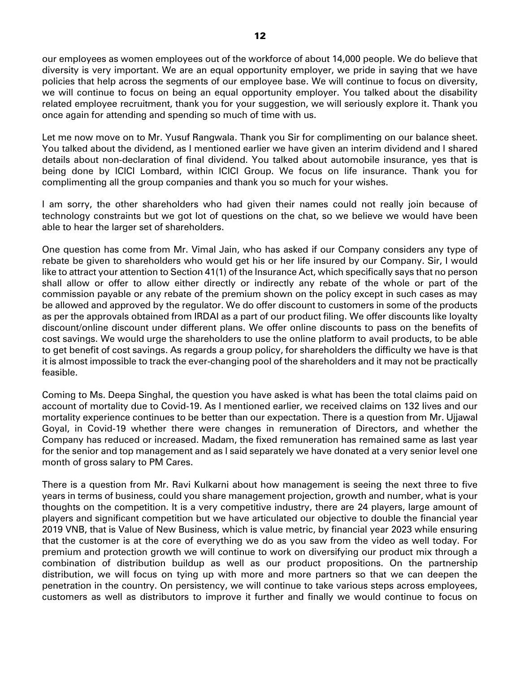our employees as women employees out of the workforce of about 14,000 people. We do believe that diversity is very important. We are an equal opportunity employer, we pride in saying that we have policies that help across the segments of our employee base. We will continue to focus on diversity, we will continue to focus on being an equal opportunity employer. You talked about the disability related employee recruitment, thank you for your suggestion, we will seriously explore it. Thank you once again for attending and spending so much of time with us.

Let me now move on to Mr. Yusuf Rangwala. Thank you Sir for complimenting on our balance sheet. You talked about the dividend, as I mentioned earlier we have given an interim dividend and I shared details about non-declaration of final dividend. You talked about automobile insurance, yes that is being done by ICICI Lombard, within ICICI Group. We focus on life insurance. Thank you for complimenting all the group companies and thank you so much for your wishes.

I am sorry, the other shareholders who had given their names could not really join because of technology constraints but we got lot of questions on the chat, so we believe we would have been able to hear the larger set of shareholders.

One question has come from Mr. Vimal Jain, who has asked if our Company considers any type of rebate be given to shareholders who would get his or her life insured by our Company. Sir, I would like to attract your attention to Section 41(1) of the Insurance Act, which specifically says that no person shall allow or offer to allow either directly or indirectly any rebate of the whole or part of the commission payable or any rebate of the premium shown on the policy except in such cases as may be allowed and approved by the regulator. We do offer discount to customers in some of the products as per the approvals obtained from IRDAI as a part of our product filing. We offer discounts like loyalty discount/online discount under different plans. We offer online discounts to pass on the benefits of cost savings. We would urge the shareholders to use the online platform to avail products, to be able to get benefit of cost savings. As regards a group policy, for shareholders the difficulty we have is that it is almost impossible to track the ever-changing pool of the shareholders and it may not be practically feasible.

Coming to Ms. Deepa Singhal, the question you have asked is what has been the total claims paid on account of mortality due to Covid-19. As I mentioned earlier, we received claims on 132 lives and our mortality experience continues to be better than our expectation. There is a question from Mr. Ujjawal Goyal, in Covid-19 whether there were changes in remuneration of Directors, and whether the Company has reduced or increased. Madam, the fixed remuneration has remained same as last year for the senior and top management and as I said separately we have donated at a very senior level one month of gross salary to PM Cares.

There is a question from Mr. Ravi Kulkarni about how management is seeing the next three to five years in terms of business, could you share management projection, growth and number, what is your thoughts on the competition. It is a very competitive industry, there are 24 players, large amount of players and significant competition but we have articulated our objective to double the financial year 2019 VNB, that is Value of New Business, which is value metric, by financial year 2023 while ensuring that the customer is at the core of everything we do as you saw from the video as well today. For premium and protection growth we will continue to work on diversifying our product mix through a combination of distribution buildup as well as our product propositions. On the partnership distribution, we will focus on tying up with more and more partners so that we can deepen the penetration in the country. On persistency, we will continue to take various steps across employees, customers as well as distributors to improve it further and finally we would continue to focus on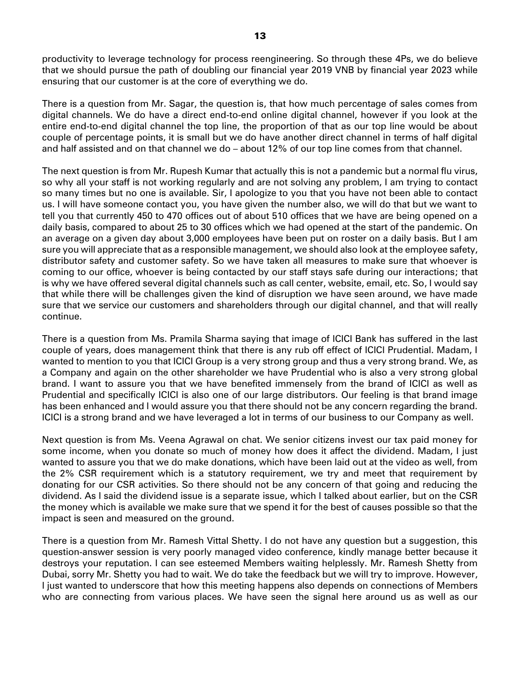productivity to leverage technology for process reengineering. So through these 4Ps, we do believe that we should pursue the path of doubling our financial year 2019 VNB by financial year 2023 while ensuring that our customer is at the core of everything we do.

There is a question from Mr. Sagar, the question is, that how much percentage of sales comes from digital channels. We do have a direct end-to-end online digital channel, however if you look at the entire end-to-end digital channel the top line, the proportion of that as our top line would be about couple of percentage points, it is small but we do have another direct channel in terms of half digital and half assisted and on that channel we do – about 12% of our top line comes from that channel.

The next question is from Mr. Rupesh Kumar that actually this is not a pandemic but a normal flu virus, so why all your staff is not working regularly and are not solving any problem, I am trying to contact so many times but no one is available. Sir, I apologize to you that you have not been able to contact us. I will have someone contact you, you have given the number also, we will do that but we want to tell you that currently 450 to 470 offices out of about 510 offices that we have are being opened on a daily basis, compared to about 25 to 30 offices which we had opened at the start of the pandemic. On an average on a given day about 3,000 employees have been put on roster on a daily basis. But I am sure you will appreciate that as a responsible management, we should also look at the employee safety, distributor safety and customer safety. So we have taken all measures to make sure that whoever is coming to our office, whoever is being contacted by our staff stays safe during our interactions; that is why we have offered several digital channels such as call center, website, email, etc. So, I would say that while there will be challenges given the kind of disruption we have seen around, we have made sure that we service our customers and shareholders through our digital channel, and that will really continue.

There is a question from Ms. Pramila Sharma saying that image of ICICI Bank has suffered in the last couple of years, does management think that there is any rub off effect of ICICI Prudential. Madam, I wanted to mention to you that ICICI Group is a very strong group and thus a very strong brand. We, as a Company and again on the other shareholder we have Prudential who is also a very strong global brand. I want to assure you that we have benefited immensely from the brand of ICICI as well as Prudential and specifically ICICI is also one of our large distributors. Our feeling is that brand image has been enhanced and I would assure you that there should not be any concern regarding the brand. ICICI is a strong brand and we have leveraged a lot in terms of our business to our Company as well.

Next question is from Ms. Veena Agrawal on chat. We senior citizens invest our tax paid money for some income, when you donate so much of money how does it affect the dividend. Madam, I just wanted to assure you that we do make donations, which have been laid out at the video as well, from the 2% CSR requirement which is a statutory requirement, we try and meet that requirement by donating for our CSR activities. So there should not be any concern of that going and reducing the dividend. As I said the dividend issue is a separate issue, which I talked about earlier, but on the CSR the money which is available we make sure that we spend it for the best of causes possible so that the impact is seen and measured on the ground.

There is a question from Mr. Ramesh Vittal Shetty. I do not have any question but a suggestion, this question-answer session is very poorly managed video conference, kindly manage better because it destroys your reputation. I can see esteemed Members waiting helplessly. Mr. Ramesh Shetty from Dubai, sorry Mr. Shetty you had to wait. We do take the feedback but we will try to improve. However, I just wanted to underscore that how this meeting happens also depends on connections of Members who are connecting from various places. We have seen the signal here around us as well as our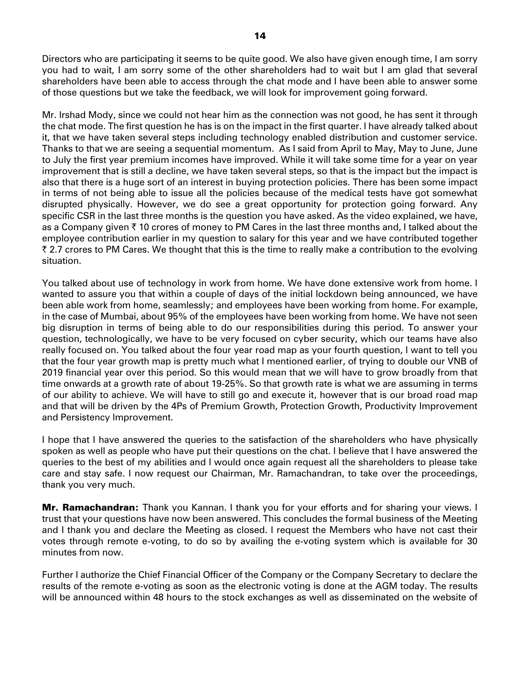Directors who are participating it seems to be quite good. We also have given enough time, I am sorry you had to wait, I am sorry some of the other shareholders had to wait but I am glad that several shareholders have been able to access through the chat mode and I have been able to answer some of those questions but we take the feedback, we will look for improvement going forward.

Mr. Irshad Mody, since we could not hear him as the connection was not good, he has sent it through the chat mode. The first question he has is on the impact in the first quarter. I have already talked about it, that we have taken several steps including technology enabled distribution and customer service. Thanks to that we are seeing a sequential momentum. As I said from April to May, May to June, June to July the first year premium incomes have improved. While it will take some time for a year on year improvement that is still a decline, we have taken several steps, so that is the impact but the impact is also that there is a huge sort of an interest in buying protection policies. There has been some impact in terms of not being able to issue all the policies because of the medical tests have got somewhat disrupted physically. However, we do see a great opportunity for protection going forward. Any specific CSR in the last three months is the question you have asked. As the video explained, we have, as a Company given  $\bar{\tau}$  10 crores of money to PM Cares in the last three months and, I talked about the employee contribution earlier in my question to salary for this year and we have contributed together ₹ 2.7 crores to PM Cares. We thought that this is the time to really make a contribution to the evolving situation.

You talked about use of technology in work from home. We have done extensive work from home. I wanted to assure you that within a couple of days of the initial lockdown being announced, we have been able work from home, seamlessly; and employees have been working from home. For example, in the case of Mumbai, about 95% of the employees have been working from home. We have not seen big disruption in terms of being able to do our responsibilities during this period. To answer your question, technologically, we have to be very focused on cyber security, which our teams have also really focused on. You talked about the four year road map as your fourth question, I want to tell you that the four year growth map is pretty much what I mentioned earlier, of trying to double our VNB of 2019 financial year over this period. So this would mean that we will have to grow broadly from that time onwards at a growth rate of about 19-25%. So that growth rate is what we are assuming in terms of our ability to achieve. We will have to still go and execute it, however that is our broad road map and that will be driven by the 4Ps of Premium Growth, Protection Growth, Productivity Improvement and Persistency Improvement.

I hope that I have answered the queries to the satisfaction of the shareholders who have physically spoken as well as people who have put their questions on the chat. I believe that I have answered the queries to the best of my abilities and I would once again request all the shareholders to please take care and stay safe. I now request our Chairman, Mr. Ramachandran, to take over the proceedings, thank you very much.

Mr. Ramachandran: Thank you Kannan. I thank you for your efforts and for sharing your views. I trust that your questions have now been answered. This concludes the formal business of the Meeting and I thank you and declare the Meeting as closed. I request the Members who have not cast their votes through remote e-voting, to do so by availing the e-voting system which is available for 30 minutes from now.

Further I authorize the Chief Financial Officer of the Company or the Company Secretary to declare the results of the remote e-voting as soon as the electronic voting is done at the AGM today. The results will be announced within 48 hours to the stock exchanges as well as disseminated on the website of